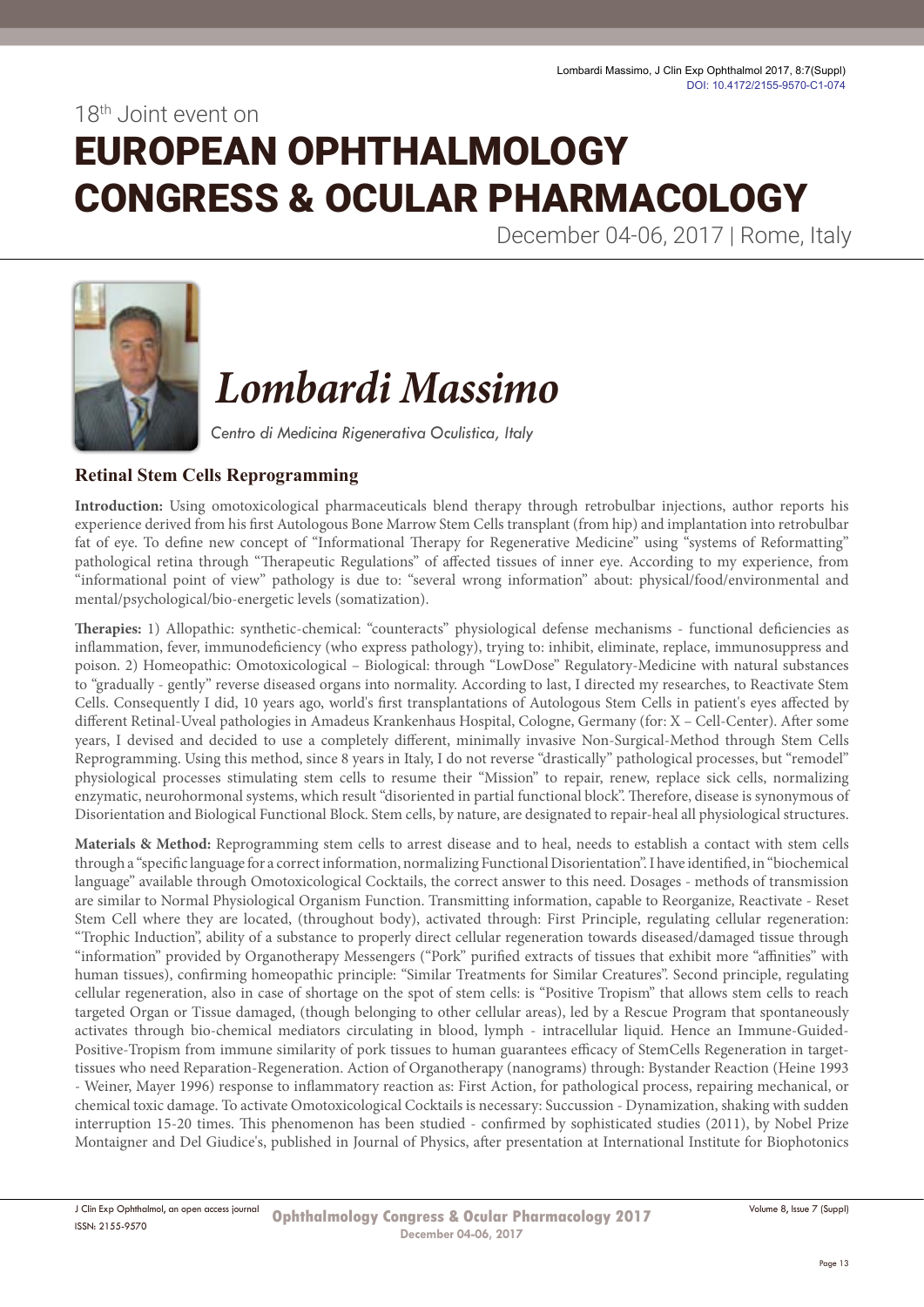18th Joint event on

# EUROPEAN OPHTHALMOLOGY CONGRESS & OCULAR PHARMACOLOGY

December 04-06, 2017 | Rome, Italy



## *Lombardi Massimo*

*Centro di Medicina Rigenerativa Oculistica, Italy*

### **Retinal Stem Cells Reprogramming**

**Introduction:** Using omotoxicological pharmaceuticals blend therapy through retrobulbar injections, author reports his experience derived from his first Autologous Bone Marrow Stem Cells transplant (from hip) and implantation into retrobulbar fat of eye. To define new concept of "Informational Therapy for Regenerative Medicine" using "systems of Reformatting" pathological retina through "Therapeutic Regulations" of affected tissues of inner eye. According to my experience, from "informational point of view" pathology is due to: "several wrong information" about: physical/food/environmental and mental/psychological/bio-energetic levels (somatization).

**Therapies:** 1) Allopathic: synthetic-chemical: "counteracts" physiological defense mechanisms - functional deficiencies as inflammation, fever, immunodeficiency (who express pathology), trying to: inhibit, eliminate, replace, immunosuppress and poison. 2) Homeopathic: Omotoxicological – Biological: through "LowDose" Regulatory-Medicine with natural substances to "gradually - gently" reverse diseased organs into normality. According to last, I directed my researches, to Reactivate Stem Cells. Consequently I did, 10 years ago, world's first transplantations of Autologous Stem Cells in patient's eyes affected by different Retinal-Uveal pathologies in Amadeus Krankenhaus Hospital, Cologne, Germany (for: X – Cell-Center). After some years, I devised and decided to use a completely different, minimally invasive Non-Surgical-Method through Stem Cells Reprogramming. Using this method, since 8 years in Italy, I do not reverse "drastically" pathological processes, but "remodel" physiological processes stimulating stem cells to resume their "Mission" to repair, renew, replace sick cells, normalizing enzymatic, neurohormonal systems, which result "disoriented in partial functional block". Therefore, disease is synonymous of Disorientation and Biological Functional Block. Stem cells, by nature, are designated to repair-heal all physiological structures.

**Materials & Method:** Reprogramming stem cells to arrest disease and to heal, needs to establish a contact with stem cells through a "specific language for a correct information, normalizing Functional Disorientation". I have identified, in "biochemical language" available through Omotoxicological Cocktails, the correct answer to this need. Dosages - methods of transmission are similar to Normal Physiological Organism Function. Transmitting information, capable to Reorganize, Reactivate - Reset Stem Cell where they are located, (throughout body), activated through: First Principle, regulating cellular regeneration: "Trophic Induction", ability of a substance to properly direct cellular regeneration towards diseased/damaged tissue through "information" provided by Organotherapy Messengers ("Pork" purified extracts of tissues that exhibit more "affinities" with human tissues), confirming homeopathic principle: "Similar Treatments for Similar Creatures". Second principle, regulating cellular regeneration, also in case of shortage on the spot of stem cells: is "Positive Tropism" that allows stem cells to reach targeted Organ or Tissue damaged, (though belonging to other cellular areas), led by a Rescue Program that spontaneously activates through bio-chemical mediators circulating in blood, lymph - intracellular liquid. Hence an Immune-Guided-Positive-Tropism from immune similarity of pork tissues to human guarantees efficacy of StemCells Regeneration in targettissues who need Reparation-Regeneration. Action of Organotherapy (nanograms) through: Bystander Reaction (Heine 1993 - Weiner, Mayer 1996) response to inflammatory reaction as: First Action, for pathological process, repairing mechanical, or chemical toxic damage. To activate Omotoxicological Cocktails is necessary: Succussion - Dynamization, shaking with sudden interruption 15-20 times. This phenomenon has been studied - confirmed by sophisticated studies (2011), by Nobel Prize Montaigner and Del Giudice's, published in Journal of Physics, after presentation at International Institute for Biophotonics